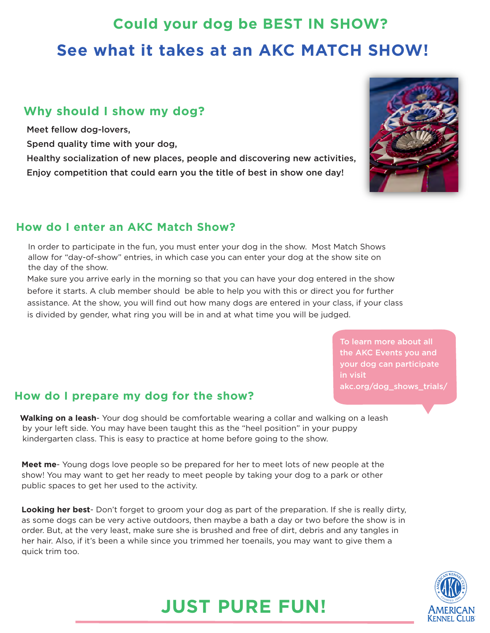## **Could your dog be BEST IN SHOW? See what it takes at an AKC MATCH SHOW!**

### **Why should I show my dog?**

Meet fellow dog-lovers,

Spend quality time with your dog,

Healthy socialization of new places, people and discovering new activities, Enjoy competition that could earn you the title of best in show one day!



### **How do I enter an AKC Match Show?**

In order to participate in the fun, you must enter your dog in the show. Most Match Shows allow for "day-of-show" entries, in which case you can enter your dog at the show site on the day of the show.

Make sure you arrive early in the morning so that you can have your dog entered in the show before it starts. A club member should be able to help you with this or direct you for further assistance. At the show, you will find out how many dogs are entered in your class, if your class is divided by gender, what ring you will be in and at what time you will be judged.

> the AKC Events you and your dog can participate in visit akc.org/dog\_shows\_trials/

### **How do I prepare my dog for the show?**

**Walking on a leash**- Your dog should be comfortable wearing a collar and walking on a leash by your left side. You may have been taught this as the "heel position" in your puppy kindergarten class. This is easy to practice at home before going to the show.

**Meet me**- Young dogs love people so be prepared for her to meet lots of new people at the show! You may want to get her ready to meet people by taking your dog to a park or other public spaces to get her used to the activity.

**Looking her best**- Don't forget to groom your dog as part of the preparation. If she is really dirty, as some dogs can be very active outdoors, then maybe a bath a day or two before the show is in order. But, at the very least, make sure she is brushed and free of dirt, debris and any tangles in her hair. Also, if it's been a while since you trimmed her toenails, you may want to give them a quick trim too.



### **JUST PURE FUN!**